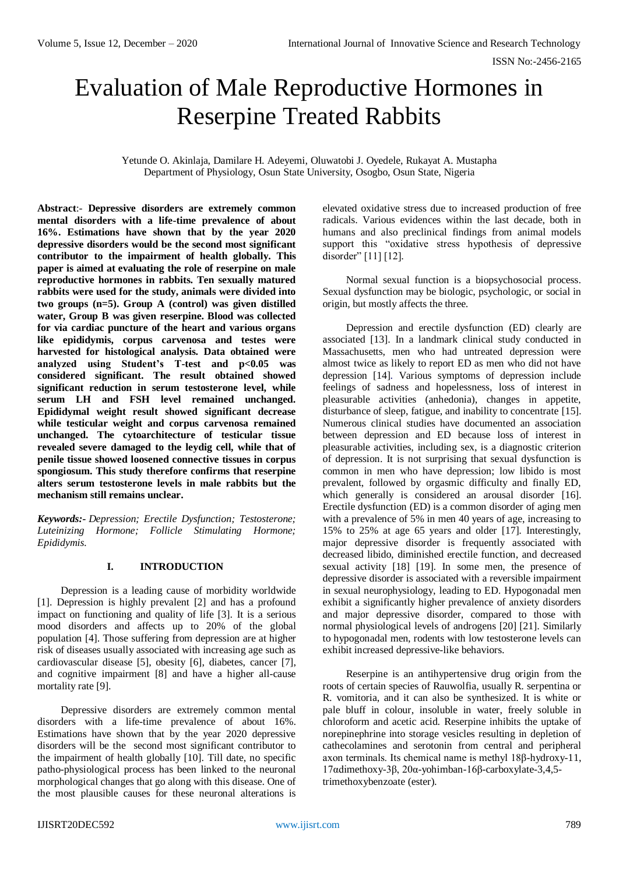# Evaluation of Male Reproductive Hormones in Reserpine Treated Rabbits

Yetunde O. Akinlaja, Damilare H. Adeyemi, Oluwatobi J. Oyedele, Rukayat A. Mustapha Department of Physiology, Osun State University, Osogbo, Osun State, Nigeria

**Abstract**:- **Depressive disorders are extremely common mental disorders with a life-time prevalence of about 16%. Estimations have shown that by the year 2020 depressive disorders would be the second most significant contributor to the impairment of health globally. This paper is aimed at evaluating the role of reserpine on male reproductive hormones in rabbits. Ten sexually matured rabbits were used for the study, animals were divided into two groups (n=5). Group A (control) was given distilled water, Group B was given reserpine. Blood was collected for via cardiac puncture of the heart and various organs like epididymis, corpus carvenosa and testes were harvested for histological analysis. Data obtained were**  analyzed using Student's T-test and p<0.05 was **considered significant. The result obtained showed significant reduction in serum testosterone level, while serum LH and FSH level remained unchanged. Epididymal weight result showed significant decrease while testicular weight and corpus carvenosa remained unchanged. The cytoarchitecture of testicular tissue revealed severe damaged to the leydig cell, while that of penile tissue showed loosened connective tissues in corpus spongiosum. This study therefore confirms that reserpine alters serum testosterone levels in male rabbits but the mechanism still remains unclear.**

*Keywords:- Depression; Erectile Dysfunction; Testosterone; Luteinizing Hormone; Follicle Stimulating Hormone; Epididymis.*

## **I. INTRODUCTION**

Depression is a leading cause of morbidity worldwide [1]. Depression is highly prevalent [2] and has a profound impact on functioning and quality of life [3]. It is a serious mood disorders and affects up to 20% of the global population [4]. Those suffering from depression are at higher risk of diseases usually associated with increasing age such as cardiovascular disease [5], obesity [6], diabetes, cancer [7], and cognitive impairment [8] and have a higher all-cause mortality rate [9].

Depressive disorders are extremely common mental disorders with a life-time prevalence of about 16%. Estimations have shown that by the year 2020 depressive disorders will be the second most significant contributor to the impairment of health globally [10]. Till date, no specific patho-physiological process has been linked to the neuronal morphological changes that go along with this disease. One of the most plausible causes for these neuronal alterations is

elevated oxidative stress due to increased production of free radicals. Various evidences within the last decade, both in humans and also preclinical findings from animal models support this "oxidative stress hypothesis of depressive disorder" [11] [12].

Normal sexual function is a biopsychosocial process. Sexual dysfunction may be biologic, psychologic, or social in origin, but mostly affects the three.

Depression and erectile dysfunction (ED) clearly are associated [13]. In a landmark clinical study conducted in Massachusetts, men who had untreated depression were almost twice as likely to report ED as men who did not have depression [14]. Various symptoms of depression include feelings of sadness and hopelessness, loss of interest in pleasurable activities (anhedonia), changes in appetite, disturbance of sleep, fatigue, and inability to concentrate [15]. Numerous clinical studies have documented an association between depression and ED because loss of interest in pleasurable activities, including sex, is a diagnostic criterion of depression. It is not surprising that sexual dysfunction is common in men who have depression; low libido is most prevalent, followed by orgasmic difficulty and finally ED, which generally is considered an arousal disorder [16]. Erectile dysfunction (ED) is a common disorder of aging men with a prevalence of 5% in men 40 years of age, increasing to 15% to 25% at age 65 years and older [17]. Interestingly, major depressive disorder is frequently associated with decreased libido, diminished erectile function, and decreased sexual activity [18] [19]. In some men, the presence of depressive disorder is associated with a reversible impairment in sexual neurophysiology, leading to ED. Hypogonadal men exhibit a significantly higher prevalence of anxiety disorders and major depressive disorder, compared to those with normal physiological levels of androgens [20] [21]. Similarly to hypogonadal men, rodents with low testosterone levels can exhibit increased depressive-like behaviors.

Reserpine is an antihypertensive drug origin from the roots of certain species of Rauwolfia, usually R. serpentina or R. vomitoria, and it can also be synthesized. It is white or pale bluff in colour, insoluble in water, freely soluble in chloroform and acetic acid. Reserpine inhibits the uptake of norepinephrine into storage vesicles resulting in depletion of cathecolamines and serotonin from central and peripheral axon terminals. Its chemical name is methyl 18β-hydroxy-11, 17αdimethoxy-3β, 20α-yohimban-16β-carboxylate-3,4,5 trimethoxybenzoate (ester).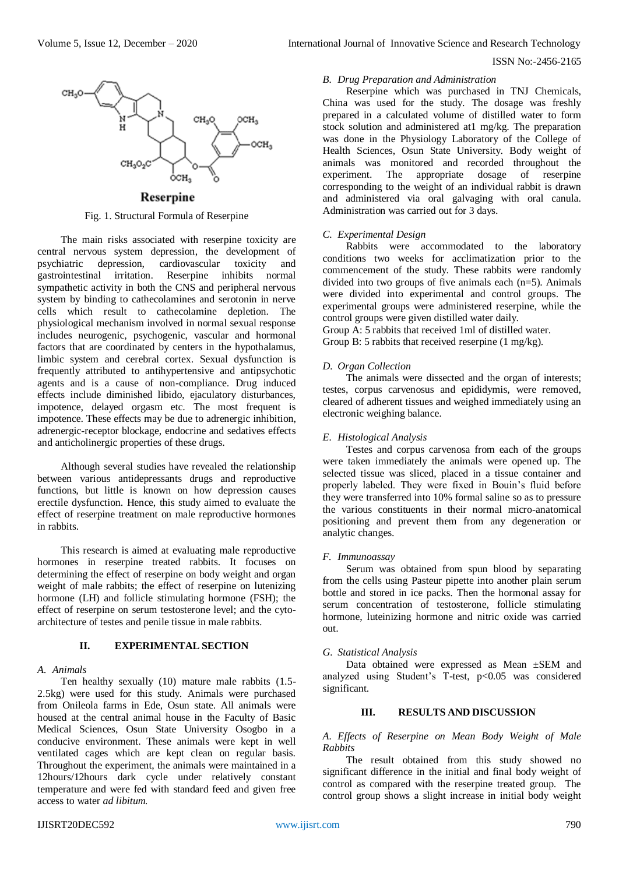

## Reserpine

Fig. 1. Structural Formula of Reserpine

The main risks associated with reserpine toxicity are central nervous system depression, the development of psychiatric depression, cardiovascular toxicity and gastrointestinal irritation. Reserpine inhibits normal sympathetic activity in both the CNS and peripheral nervous system by binding to cathecolamines and serotonin in nerve cells which result to cathecolamine depletion. The physiological mechanism involved in normal sexual response includes neurogenic, psychogenic, vascular and hormonal factors that are coordinated by centers in the hypothalamus, limbic system and cerebral cortex. Sexual dysfunction is frequently attributed to antihypertensive and antipsychotic agents and is a cause of non-compliance. Drug induced effects include diminished libido, ejaculatory disturbances, impotence, delayed orgasm etc. The most frequent is impotence. These effects may be due to adrenergic inhibition, adrenergic-receptor blockage, endocrine and sedatives effects and anticholinergic properties of these drugs.

Although several studies have revealed the relationship between various antidepressants drugs and reproductive functions, but little is known on how depression causes erectile dysfunction. Hence, this study aimed to evaluate the effect of reserpine treatment on male reproductive hormones in rabbits.

This research is aimed at evaluating male reproductive hormones in reserpine treated rabbits. It focuses on determining the effect of reserpine on body weight and organ weight of male rabbits; the effect of reserpine on lutenizing hormone (LH) and follicle stimulating hormone (FSH); the effect of reserpine on serum testosterone level; and the cytoarchitecture of testes and penile tissue in male rabbits.

## **II. EXPERIMENTAL SECTION**

#### *A. Animals*

Ten healthy sexually (10) mature male rabbits (1.5- 2.5kg) were used for this study. Animals were purchased from Onileola farms in Ede, Osun state. All animals were housed at the central animal house in the Faculty of Basic Medical Sciences, Osun State University Osogbo in a conducive environment. These animals were kept in well ventilated cages which are kept clean on regular basis. Throughout the experiment, the animals were maintained in a 12hours/12hours dark cycle under relatively constant temperature and were fed with standard feed and given free access to water *ad libitum.*

## *B. Drug Preparation and Administration*

Reserpine which was purchased in TNJ Chemicals, China was used for the study. The dosage was freshly prepared in a calculated volume of distilled water to form stock solution and administered at1 mg/kg. The preparation was done in the Physiology Laboratory of the College of Health Sciences, Osun State University. Body weight of animals was monitored and recorded throughout the experiment. The appropriate dosage of reserpine corresponding to the weight of an individual rabbit is drawn and administered via oral galvaging with oral canula. Administration was carried out for 3 days.

### *C. Experimental Design*

Rabbits were accommodated to the laboratory conditions two weeks for acclimatization prior to the commencement of the study. These rabbits were randomly divided into two groups of five animals each  $(n=5)$ . Animals were divided into experimental and control groups. The experimental groups were administered reserpine, while the control groups were given distilled water daily.

Group A: 5 rabbits that received 1ml of distilled water. Group B: 5 rabbits that received reserpine (1 mg/kg).

### *D. Organ Collection*

The animals were dissected and the organ of interests; testes, corpus carvenosus and epididymis, were removed, cleared of adherent tissues and weighed immediately using an electronic weighing balance.

## *E. Histological Analysis*

Testes and corpus carvenosa from each of the groups were taken immediately the animals were opened up. The selected tissue was sliced, placed in a tissue container and properly labeled. They were fixed in Bouin's fluid before they were transferred into 10% formal saline so as to pressure the various constituents in their normal micro-anatomical positioning and prevent them from any degeneration or analytic changes.

#### *F. Immunoassay*

Serum was obtained from spun blood by separating from the cells using Pasteur pipette into another plain serum bottle and stored in ice packs. Then the hormonal assay for serum concentration of testosterone, follicle stimulating hormone, luteinizing hormone and nitric oxide was carried out.

#### *G. Statistical Analysis*

Data obtained were expressed as Mean ±SEM and analyzed using Student's T-test,  $p<0.05$  was considered significant.

## **III. RESULTS AND DISCUSSION**

## *A. Effects of Reserpine on Mean Body Weight of Male Rabbits*

The result obtained from this study showed no significant difference in the initial and final body weight of control as compared with the reserpine treated group. The control group shows a slight increase in initial body weight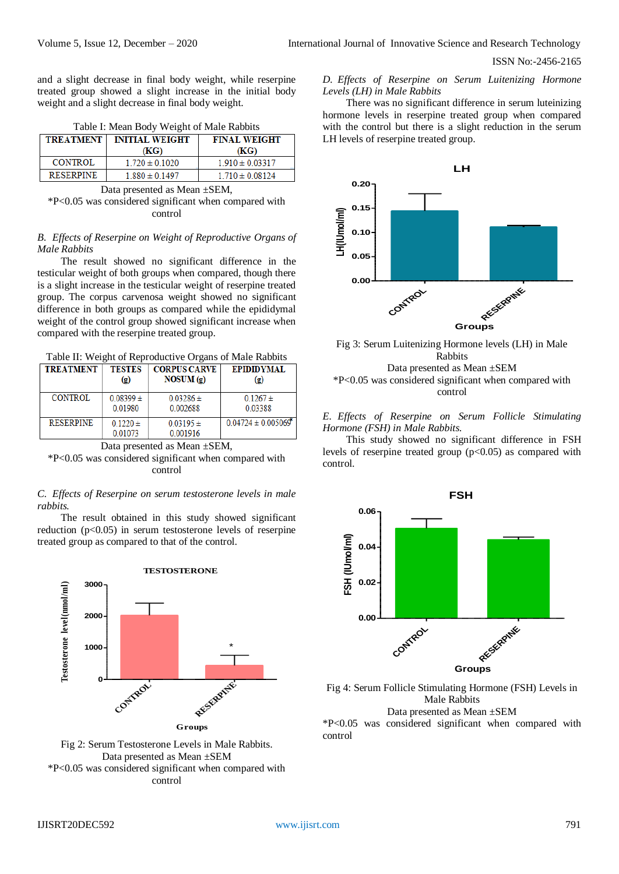and a slight decrease in final body weight, while reserpine treated group showed a slight increase in the initial body weight and a slight decrease in final body weight.

| Table I: Mean Body Weight of Male Rabbits |
|-------------------------------------------|
|-------------------------------------------|

| <b>TREATMENT</b> | <b>INITIAL WEIGHT</b><br>(KG) | <b>FINAL WEIGHT</b><br>(KG) |
|------------------|-------------------------------|-----------------------------|
| CONTROL          | $1.720 \pm 0.1020$            | $1.910 \pm 0.03317$         |
| <b>RESERPINE</b> | $1.880 \pm 0.1497$            | $1.710 \pm 0.08124$         |

Data presented as Mean ±SEM,

\*P<0.05 was considered significant when compared with control

## *B. Effects of Reserpine on Weight of Reproductive Organs of Male Rabbits*

The result showed no significant difference in the testicular weight of both groups when compared, though there is a slight increase in the testicular weight of reserpine treated group. The corpus carvenosa weight showed no significant difference in both groups as compared while the epididymal weight of the control group showed significant increase when compared with the reserpine treated group.

Table II: Weight of Reproductive Organs of Male Rabbits

| <b>TREATMENT</b> | <b>TESTES</b>               | <b>CORPUS CARVE</b>       | <b>EPIDIDYMAL</b>      |
|------------------|-----------------------------|---------------------------|------------------------|
|                  | $\left( \mathbf{g} \right)$ | NOSUM(g)                  | $\left( 2 \right)$     |
| <b>CONTROL</b>   | $0.08399 \pm$               | $0.03286 \pm$             | $0.1267 \pm$           |
|                  | 0.01980                     | 0.002688                  | 0.03388                |
| <b>RESERPINE</b> | 0 1220 $\pm$<br>0.01073     | $0.03195 \pm$<br>0.001916 | $0.04724 \pm 0.005069$ |

Data presented as Mean ±SEM, \*P<0.05 was considered significant when compared with control

#### *C. Effects of Reserpine on serum testosterone levels in male rabbits.*

The result obtained in this study showed significant reduction  $(p<0.05)$  in serum testosterone levels of reserpine treated group as compared to that of the control.





*D. Effects of Reserpine on Serum Luitenizing Hormone Levels (LH) in Male Rabbits*

There was no significant difference in serum luteinizing hormone levels in reserpine treated group when compared with the control but there is a slight reduction in the serum LH levels of reserpine treated group.





## *E. Effects of Reserpine on Serum Follicle Stimulating Hormone (FSH) in Male Rabbits.*

This study showed no significant difference in FSH levels of reserpine treated group  $(p<0.05)$  as compared with control.



Fig 4: Serum Follicle Stimulating Hormone (FSH) Levels in Male Rabbits Data presented as Mean ±SEM \*P<0.05 was considered significant when compared with

control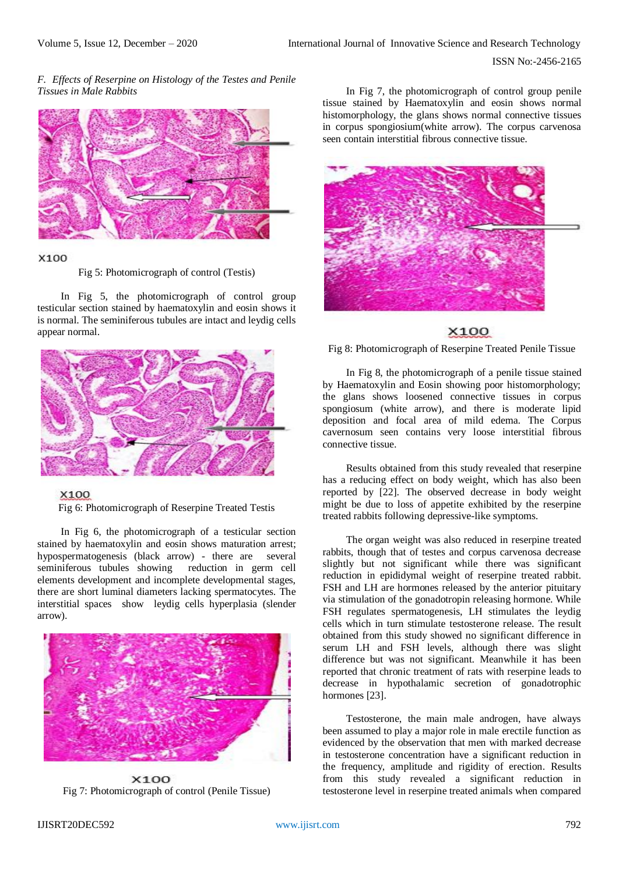## *F. Effects of Reserpine on Histology of the Testes and Penile Tissues in Male Rabbits*



### X100

Fig 5: Photomicrograph of control (Testis)

In Fig 5, the photomicrograph of control group testicular section stained by haematoxylin and eosin shows it is normal. The seminiferous tubules are intact and leydig cells appear normal.





Fig 6: Photomicrograph of Reserpine Treated Testis

In Fig 6, the photomicrograph of a testicular section stained by haematoxylin and eosin shows maturation arrest; hypospermatogenesis (black arrow) - there are several seminiferous tubules showing reduction in germ cell elements development and incomplete developmental stages, there are short luminal diameters lacking spermatocytes. The interstitial spaces show leydig cells hyperplasia (slender arrow).



X100 Fig 7: Photomicrograph of control (Penile Tissue)

In Fig 7, the photomicrograph of control group penile tissue stained by Haematoxylin and eosin shows normal histomorphology, the glans shows normal connective tissues in corpus spongiosium(white arrow). The corpus carvenosa seen contain interstitial fibrous connective tissue.



## X100

Fig 8: Photomicrograph of Reserpine Treated Penile Tissue

In Fig 8, the photomicrograph of a penile tissue stained by Haematoxylin and Eosin showing poor histomorphology; the glans shows loosened connective tissues in corpus spongiosum (white arrow), and there is moderate lipid deposition and focal area of mild edema. The Corpus cavernosum seen contains very loose interstitial fibrous connective tissue.

Results obtained from this study revealed that reserpine has a reducing effect on body weight, which has also been reported by [22]. The observed decrease in body weight might be due to loss of appetite exhibited by the reserpine treated rabbits following depressive-like symptoms.

The organ weight was also reduced in reserpine treated rabbits, though that of testes and corpus carvenosa decrease slightly but not significant while there was significant reduction in epididymal weight of reserpine treated rabbit. FSH and LH are hormones released by the anterior pituitary via stimulation of the gonadotropin releasing hormone. While FSH regulates spermatogenesis, LH stimulates the leydig cells which in turn stimulate testosterone release. The result obtained from this study showed no significant difference in serum LH and FSH levels, although there was slight difference but was not significant. Meanwhile it has been reported that chronic treatment of rats with reserpine leads to decrease in hypothalamic secretion of gonadotrophic hormones [23].

Testosterone, the main male androgen, have always been assumed to play a major role in male erectile function as evidenced by the observation that men with marked decrease in testosterone concentration have a significant reduction in the frequency, amplitude and rigidity of erection. Results from this study revealed a significant reduction in testosterone level in reserpine treated animals when compared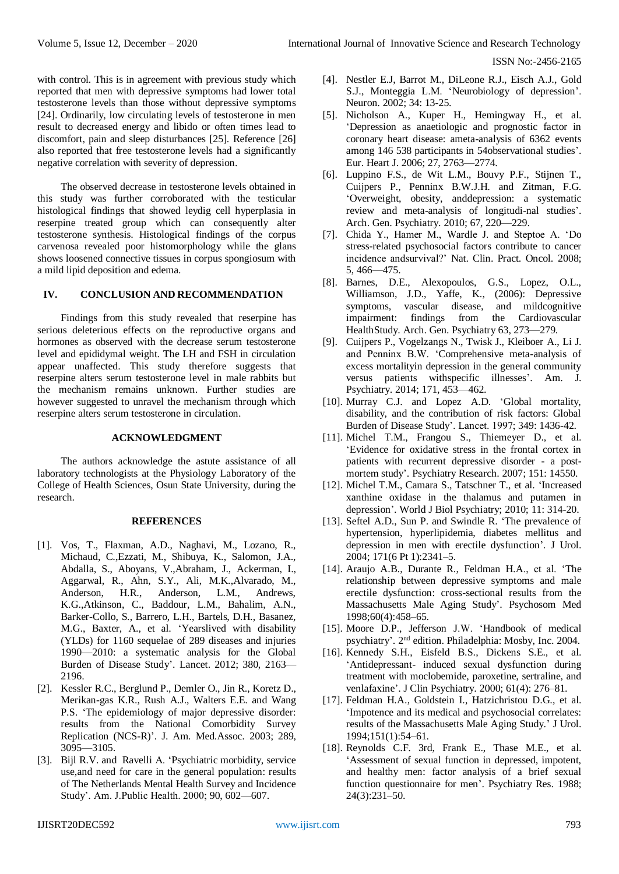with control. This is in agreement with previous study which reported that men with depressive symptoms had lower total testosterone levels than those without depressive symptoms [24]. Ordinarily, low circulating levels of testosterone in men result to decreased energy and libido or often times lead to discomfort, pain and sleep disturbances [25]. Reference [26] also reported that free testosterone levels had a significantly negative correlation with severity of depression.

The observed decrease in testosterone levels obtained in this study was further corroborated with the testicular histological findings that showed leydig cell hyperplasia in reserpine treated group which can consequently alter testosterone synthesis. Histological findings of the corpus carvenosa revealed poor histomorphology while the glans shows loosened connective tissues in corpus spongiosum with a mild lipid deposition and edema.

### **IV. CONCLUSION AND RECOMMENDATION**

Findings from this study revealed that reserpine has serious deleterious effects on the reproductive organs and hormones as observed with the decrease serum testosterone level and epididymal weight. The LH and FSH in circulation appear unaffected. This study therefore suggests that reserpine alters serum testosterone level in male rabbits but the mechanism remains unknown. Further studies are however suggested to unravel the mechanism through which reserpine alters serum testosterone in circulation.

## **ACKNOWLEDGMENT**

The authors acknowledge the astute assistance of all laboratory technologists at the Physiology Laboratory of the College of Health Sciences, Osun State University, during the research.

#### **REFERENCES**

- [1]. Vos, T., Flaxman, A.D., Naghavi, M., Lozano, R., Michaud, C.,Ezzati, M., Shibuya, K., Salomon, J.A., Abdalla, S., Aboyans, V.,Abraham, J., Ackerman, I., Aggarwal, R., Ahn, S.Y., Ali, M.K.,Alvarado, M., Anderson, H.R., Anderson, L.M., Andrews, K.G.,Atkinson, C., Baddour, L.M., Bahalim, A.N., Barker-Collo, S., Barrero, L.H., Bartels, D.H., Basanez, M.G., Baxter, A., et al. 'Yearslived with disability (YLDs) for 1160 sequelae of 289 diseases and injuries 1990—2010: a systematic analysis for the Global Burden of Disease Study'. Lancet. 2012; 380, 2163— 2196.
- [2]. Kessler R.C., Berglund P., Demler O., Jin R., Koretz D., Merikan-gas K.R., Rush A.J., Walters E.E. and Wang P.S. 'The epidemiology of major depressive disorder: results from the National Comorbidity Survey Replication (NCS-R)'. J. Am. Med.Assoc. 2003; 289, 3095—3105.
- [3]. Bijl R.V. and Ravelli A. 'Psychiatric morbidity, service use,and need for care in the general population: results of The Netherlands Mental Health Survey and Incidence Study'. Am. J.Public Health. 2000; 90, 602—607.
- [4]. Nestler E.J, Barrot M., DiLeone R.J., Eisch A.J., Gold S.J., Monteggia L.M. 'Neurobiology of depression'. Neuron. 2002; 34: 13-25.
- [5]. Nicholson A., Kuper H., Hemingway H., et al. 'Depression as anaetiologic and prognostic factor in coronary heart disease: ameta-analysis of 6362 events among 146 538 participants in 54observational studies'. Eur. Heart J. 2006; 27, 2763—2774.
- [6]. Luppino F.S., de Wit L.M., Bouvy P.F., Stijnen T., Cuijpers P., Penninx B.W.J.H. and Zitman, F.G. 'Overweight, obesity, anddepression: a systematic review and meta-analysis of longitudi-nal studies'. Arch. Gen. Psychiatry. 2010; 67, 220—229.
- [7]. Chida Y., Hamer M., Wardle J. and Steptoe A. 'Do stress-related psychosocial factors contribute to cancer incidence andsurvival?' Nat. Clin. Pract. Oncol. 2008; 5, 466—475.
- [8]. Barnes, D.E., Alexopoulos, G.S., Lopez, O.L., Williamson, J.D., Yaffe, K., (2006): Depressive symptoms, vascular disease, and mildcognitive impairment: findings from the Cardiovascular HealthStudy. Arch. Gen. Psychiatry 63, 273—279.
- [9]. Cuijpers P., Vogelzangs N., Twisk J., Kleiboer A., Li J. and Penninx B.W. 'Comprehensive meta-analysis of excess mortalityin depression in the general community versus patients withspecific illnesses'. Am. J. Psychiatry. 2014; 171, 453—462.
- [10]. Murray C.J. and Lopez A.D. 'Global mortality, disability, and the contribution of risk factors: Global Burden of Disease Study'. Lancet. 1997; 349: 1436-42.
- [11]. Michel T.M., Frangou S., Thiemeyer D., et al. 'Evidence for oxidative stress in the frontal cortex in patients with recurrent depressive disorder - a postmortem study'. Psychiatry Research. 2007; 151: 14550.
- [12]. Michel T.M., Camara S., Tatschner T., et al. 'Increased xanthine oxidase in the thalamus and putamen in depression'. World J Biol Psychiatry; 2010; 11: 314-20.
- [13]. Seftel A.D., Sun P. and Swindle R. 'The prevalence of hypertension, hyperlipidemia, diabetes mellitus and depression in men with erectile dysfunction'. J Urol. 2004; 171(6 Pt 1):2341–5.
- [14]. Araujo A.B., Durante R., Feldman H.A., et al. 'The relationship between depressive symptoms and male erectile dysfunction: cross-sectional results from the Massachusetts Male Aging Study'. Psychosom Med 1998;60(4):458–65.
- [15]. Moore D.P., Jefferson J.W. 'Handbook of medical psychiatry'. 2nd edition. Philadelphia: Mosby, Inc. 2004.
- [16]. Kennedy S.H., Eisfeld B.S., Dickens S.E., et al. 'Antidepressant- induced sexual dysfunction during treatment with moclobemide, paroxetine, sertraline, and venlafaxine'. J Clin Psychiatry. 2000; 61(4): 276–81.
- [17]. Feldman H.A., Goldstein I., Hatzichristou D.G., et al. 'Impotence and its medical and psychosocial correlates: results of the Massachusetts Male Aging Study.' J Urol. 1994;151(1):54–61.
- [18]. Reynolds C.F. 3rd, Frank E., Thase M.E., et al. 'Assessment of sexual function in depressed, impotent, and healthy men: factor analysis of a brief sexual function questionnaire for men'. Psychiatry Res. 1988; 24(3):231–50.